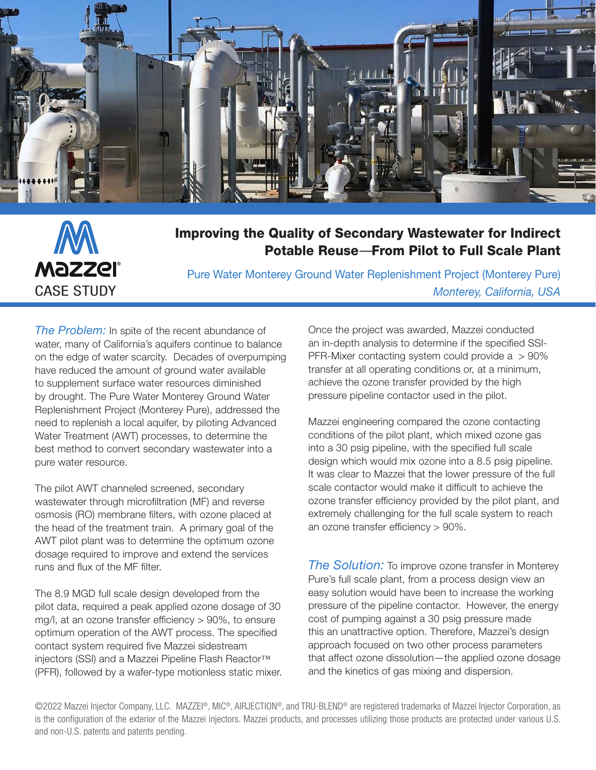



## Improving the Quality of Secondary Wastewater for Indirect Potable Reuse*—*From Pilot to Full Scale Plant

Pure Water Monterey Ground Water Replenishment Project (Monterey Pure) *Monterey, California, USA*

*The Problem:* In spite of the recent abundance of water, many of California's aquifers continue to balance on the edge of water scarcity. Decades of overpumping have reduced the amount of ground water available to supplement surface water resources diminished by drought. The Pure Water Monterey Ground Water Replenishment Project (Monterey Pure), addressed the need to replenish a local aquifer, by piloting Advanced Water Treatment (AWT) processes, to determine the best method to convert secondary wastewater into a pure water resource.

The pilot AWT channeled screened, secondary wastewater through microfiltration (MF) and reverse osmosis (RO) membrane filters, with ozone placed at the head of the treatment train. A primary goal of the AWT pilot plant was to determine the optimum ozone dosage required to improve and extend the services runs and flux of the MF filter.

The 8.9 MGD full scale design developed from the pilot data, required a peak applied ozone dosage of 30 mg/l, at an ozone transfer efficiency > 90%, to ensure optimum operation of the AWT process. The specified contact system required five Mazzei sidestream injectors (SSI) and a Mazzei Pipeline Flash Reactor™ (PFR), followed by a wafer-type motionless static mixer. Once the project was awarded, Mazzei conducted an in-depth analysis to determine if the specified SSI-PFR-Mixer contacting system could provide  $a > 90\%$ transfer at all operating conditions or, at a minimum, achieve the ozone transfer provided by the high pressure pipeline contactor used in the pilot.

Mazzei engineering compared the ozone contacting conditions of the pilot plant, which mixed ozone gas into a 30 psig pipeline, with the specified full scale design which would mix ozone into a 8.5 psig pipeline. It was clear to Mazzei that the lower pressure of the full scale contactor would make it difficult to achieve the ozone transfer efficiency provided by the pilot plant, and extremely challenging for the full scale system to reach an ozone transfer efficiency > 90%.

*The Solution:* To improve ozone transfer in Monterey Pure's full scale plant, from a process design view an easy solution would have been to increase the working pressure of the pipeline contactor. However, the energy cost of pumping against a 30 psig pressure made this an unattractive option. Therefore, Mazzei's design approach focused on two other process parameters that affect ozone dissolution—the applied ozone dosage and the kinetics of gas mixing and dispersion.

©2022 Mazzei Injector Company, LLC. MAZZEI®, MIC®, AIRJECTION®, and TRU-BLEND® are registered trademarks of Mazzei Injector Corporation, as is the configuration of the exterior of the Mazzei injectors. Mazzei products, and processes utilizing those products are protected under various U.S. and non-U.S. patents and patents pending.